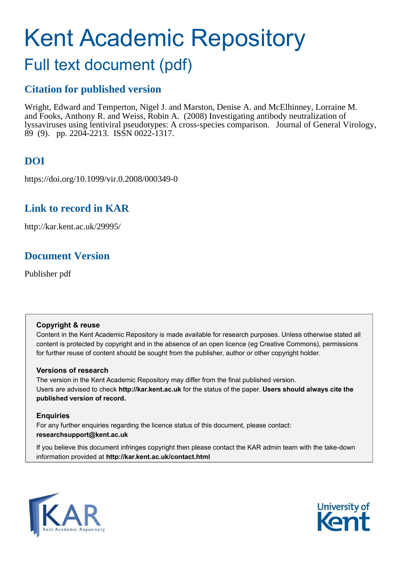# Kent Academic Repository

## Full text document (pdf)

## **Citation for published version**

Wright, Edward and Temperton, Nigel J. and Marston, Denise A. and McElhinney, Lorraine M. and Fooks, Anthony R. and Weiss, Robin A. (2008) Investigating antibody neutralization of lyssaviruses using lentiviral pseudotypes: A cross-species comparison. Journal of General Virology, 89 (9). pp. 2204-2213. ISSN 0022-1317.

## **DOI**

https://doi.org/10.1099/vir.0.2008/000349-0

## **Link to record in KAR**

http://kar.kent.ac.uk/29995/

## **Document Version**

Publisher pdf

## **Copyright & reuse**

Content in the Kent Academic Repository is made available for research purposes. Unless otherwise stated all content is protected by copyright and in the absence of an open licence (eg Creative Commons), permissions for further reuse of content should be sought from the publisher, author or other copyright holder.

## **Versions of research**

The version in the Kent Academic Repository may differ from the final published version. Users are advised to check **http://kar.kent.ac.uk** for the status of the paper. **Users should always cite the published version of record.**

## **Enquiries**

For any further enquiries regarding the licence status of this document, please contact: **researchsupport@kent.ac.uk**

If you believe this document infringes copyright then please contact the KAR admin team with the take-down information provided at **http://kar.kent.ac.uk/contact.html**



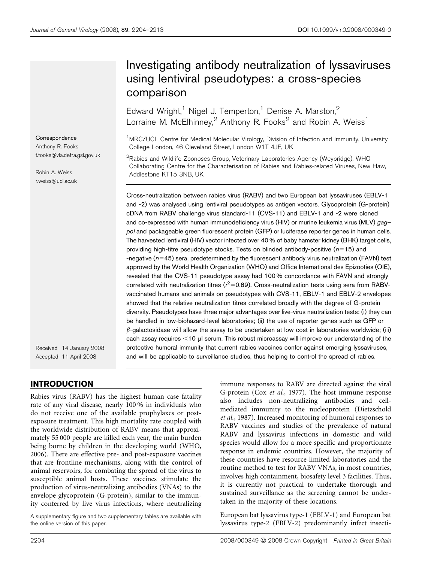**Correspondence** Anthony R. Fooks t.fooks@vla.defra.gsi.gov.uk

Robin A. Weiss r.weiss@ucl.ac.uk

Received 14 January 2008 Accepted 11 April 2008

## INTRODUCTION

Rabies virus (RABV) has the highest human case fatality rate of any viral disease, nearly 100 % in individuals who do not receive one of the available prophylaxes or postexposure treatment. This high mortality rate coupled with the worldwide distribution of RABV means that approximately 55 000 people are killed each year, the main burden being borne by children in the developing world (WHO, 2006). There are effective pre- and post-exposure vaccines that are frontline mechanisms, along with the control of animal reservoirs, for combating the spread of the virus to susceptible animal hosts. These vaccines stimulate the production of virus-neutralizing antibodies (VNAs) to the envelope glycoprotein (G-protein), similar to the immunity conferred by live virus infections, where neutralizing

A supplementary figure and two supplementary tables are available with the online version of this paper.

## Investigating antibody neutralization of lyssaviruses using lentiviral pseudotypes: a cross-species comparison

Edward Wright,<sup>1</sup> Nigel J. Temperton,<sup>1</sup> Denise A. Marston,<sup>2</sup> Lorraine M. McElhinney, $^2$  Anthony R. Fooks $^2$  and Robin A. Weiss<sup>1</sup>

<sup>1</sup>MRC/UCL Centre for Medical Molecular Virology, Division of Infection and Immunity, University College London, 46 Cleveland Street, London W1T 4JF, UK

 $2$ Rabies and Wildlife Zoonoses Group, Veterinary Laboratories Agency (Weybridge), WHO Collaborating Centre for the Characterisation of Rabies and Rabies-related Viruses, New Haw, Addlestone KT15 3NB, UK

Cross-neutralization between rabies virus (RABV) and two European bat lyssaviruses (EBLV-1 and -2) was analysed using lentiviral pseudotypes as antigen vectors. Glycoprotein (G-protein) cDNA from RABV challenge virus standard-11 (CVS-11) and EBLV-1 and -2 were cloned and co-expressed with human immunodeficiency virus (HIV) or murine leukemia virus (MLV) gagpol and packageable green fluorescent protein (GFP) or luciferase reporter genes in human cells. The harvested lentiviral (HIV) vector infected over 40 % of baby hamster kidney (BHK) target cells, providing high-titre pseudotype stocks. Tests on blinded antibody-positive ( $n=15$ ) and -negative  $(n=45)$  sera, predetermined by the fluorescent antibody virus neutralization (FAVN) test approved by the World Health Organization (WHO) and Office International des Epizooties (OIE), revealed that the CVS-11 pseudotype assay had 100 % concordance with FAVN and strongly correlated with neutralization titres ( $r^2$ =0.89). Cross-neutralization tests using sera from RABVvaccinated humans and animals on pseudotypes with CVS-11, EBLV-1 and EBLV-2 envelopes showed that the relative neutralization titres correlated broadly with the degree of G-protein diversity. Pseudotypes have three major advantages over live-virus neutralization tests: (i) they can be handled in low-biohazard-level laboratories; (ii) the use of reporter genes such as GFP or  $\beta$ -galactosidase will allow the assay to be undertaken at low cost in laboratories worldwide; (iii) each assay requires  $<$  10  $\mu$ l serum. This robust microassay will improve our understanding of the protective humoral immunity that current rabies vaccines confer against emerging lyssaviruses, and will be applicable to surveillance studies, thus helping to control the spread of rabies.

> immune responses to RABV are directed against the viral G-protein (Cox et al., 1977). The host immune response also includes non-neutralizing antibodies and cellmediated immunity to the nucleoprotein (Dietzschold et al., 1987). Increased monitoring of humoral responses to RABV vaccines and studies of the prevalence of natural RABV and lyssavirus infections in domestic and wild species would allow for a more specific and proportionate response in endemic countries. However, the majority of these countries have resource-limited laboratories and the routine method to test for RABV VNAs, in most countries, involves high containment, biosafety level 3 facilities. Thus, it is currently not practical to undertake thorough and sustained surveillance as the screening cannot be undertaken in the majority of these locations.

> European bat lyssavirus type-1 (EBLV-1) and European bat lyssavirus type-2 (EBLV-2) predominantly infect insecti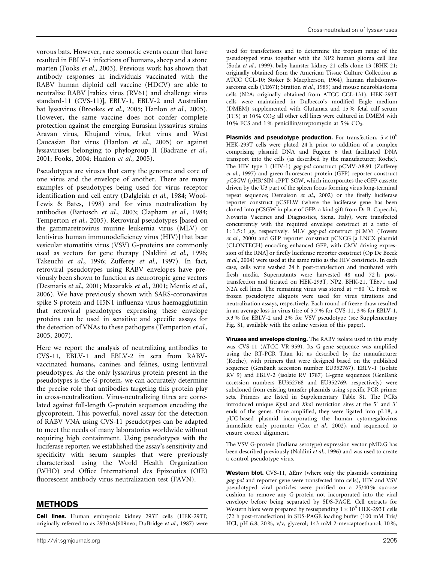vorous bats. However, rare zoonotic events occur that have resulted in EBLV-1 infections of humans, sheep and a stone marten (Fooks et al., 2003). Previous work has shown that antibody responses in individuals vaccinated with the RABV human diploid cell vaccine (HDCV) are able to neutralize RABV [rabies virus (RV61) and challenge virus standard-11 (CVS-11)], EBLV-1, EBLV-2 and Australian bat lyssavirus (Brookes et al., 2005; Hanlon et al., 2005). However, the same vaccine does not confer complete protection against the emerging Eurasian lyssavirus strains Aravan virus, Khujand virus, Irkut virus and West Caucasian Bat virus (Hanlon et al., 2005) or against lyssaviruses belonging to phylogroup II (Badrane et al., 2001; Fooks, 2004; Hanlon et al., 2005).

Pseudotypes are viruses that carry the genome and core of one virus and the envelope of another. There are many examples of pseudotypes being used for virus receptor identification and cell entry (Dalgleish et al., 1984; Wool-Lewis & Bates, 1998) and for virus neutralization by antibodies (Bartosch et al., 2003; Clapham et al., 1984; Temperton et al., 2005). Retroviral pseudotypes [based on the gammaretrovirus murine leukemia virus (MLV) or lentivirus human immunodeficiency virus (HIV)] that bear vesicular stomatitis virus (VSV) G-proteins are commonly used as vectors for gene therapy (Naldini et al., 1996; Takeuchi et al., 1996; Zufferey et al., 1997). In fact, retroviral pseudotypes using RABV envelopes have previously been shown to function as neurotropic gene vectors (Desmaris et al., 2001; Mazarakis et al., 2001; Mentis et al., 2006). We have previously shown with SARS-coronavirus spike S-protein and H5N1 influenza virus haemagglutinin that retroviral pseudotypes expressing these envelope proteins can be used in sensitive and specific assays for the detection of VNAs to these pathogens (Temperton et al., 2005, 2007).

Here we report the analysis of neutralizing antibodies to CVS-11, EBLV-1 and EBLV-2 in sera from RABVvaccinated humans, canines and felines, using lentiviral pseudotypes. As the only lyssavirus protein present in the pseudotypes is the G-protein, we can accurately determine the precise role that antibodies targeting this protein play in cross-neutralization. Virus-neutralizing titres are correlated against full-length G-protein sequences encoding the glycoprotein. This powerful, novel assay for the detection of RABV VNA using CVS-11 pseudotypes can be adapted to meet the needs of many laboratories worldwide without requiring high containment. Using pseudotypes with the luciferase reporter, we established the assay's sensitivity and specificity with serum samples that were previously characterized using the World Health Organization (WHO) and Office International des Epizooties (OIE) fluorescent antibody virus neutralization test (FAVN).

#### METHODS

Cell lines. Human embryonic kidney 293T cells (HEK-293T; originally referred to as 293/tsAJ609neo; DuBridge et al., 1987) were used for transfections and to determine the tropism range of the pseudotyped virus together with the NP2 human glioma cell line (Soda et al., 1999), baby hamster kidney 21 cells clone 13 (BHK-21; originally obtained from the American Tissue Culture Collection as ATCC CCL-10; Stoker & Macpherson, 1964), human rhabdomyosarcoma cells (TE671; Stratton et al., 1989) and mouse neuroblastoma cells (N2A; originally obtained from ATCC CCL-131). HEK-293T cells were maintained in Dulbecco's modified Eagle medium (DMEM) supplemented with Glutamax and 15 % fetal calf serum  $(FCS)$  at 10 %  $CO<sub>2</sub>$ ; all other cell lines were cultured in DMEM with 10% FCS and 1% penicillin/streptomycin at 5%  $CO<sub>2</sub>$ .

**Plasmids and pseudotype production.** For transfection,  $5 \times 10^6$ HEK-293T cells were plated 24 h prior to addition of a complex comprising plasmid DNA and Fugene 6 that facilitated DNA transport into the cells (as described by the manufacturer; Roche). The HIV type 1 (HIV-1) gag-pol construct pCMV- $\Delta$ 8.91 (Zufferey et al., 1997) and green fluorescent protein (GFP) reporter construct pCSGW (pHR'SIN-cPPT-SGW, which incorporates the eGFP cassette driven by the U3 part of the spleen focus forming virus long-terminal repeat sequence; Demaison et al., 2002) or the firefly luciferase reporter construct pCSFLW (where the luciferase gene has been cloned into pCSGW in place of GFP; a kind gift from Dr B. Capecchi, Novartis Vaccines and Diagnostics, Siena, Italy), were transfected concurrently with the required envelope construct at a ratio of 1:1.5:1 µg, respectively. MLV gag-pol construct pCMVi (Towers et al., 2000) and GFP reporter construct pCNCG [a LNCX plasmid (CLONTECH) encoding enhanced GFP, with CMV driving expression of the RNA] or firefly luciferase reporter construct (Op De Beeck et al., 2004) were used at the same ratio as the HIV constructs. In each case, cells were washed 24 h post-transfection and incubated with fresh media. Supernatants were harvested 48 and 72 h posttransfection and titrated on HEK-293T, NP2, BHK-21, TE671 and N2A cell lines. The remaining virus was stored at  $-80$  °C. Fresh or frozen pseudotype aliquots were used for virus titrations and neutralization assays, respectively. Each round of freeze-thaw resulted in an average loss in virus titre of 5.7 % for CVS-11, 3 % for EBLV-1, 5.3 % for EBLV-2 and 2% for VSV pseudotype (see Supplementary Fig. S1, available with the online version of this paper).

Viruses and envelope cloning. The RABV isolate used in this study was CVS-11 (ATCC VR-959). Its G-gene sequence was amplified using the RT-PCR Titan kit as described by the manufacturer (Roche), with primers that were designed based on the published sequence (GenBank accession number EU352767). EBLV-1 (isolate RV 9) and EBLV-2 (isolate RV 1787) G-gene sequences (GenBank accession numbers EU352768 and EU352769, respectively) were subcloned from existing transfer plasmids using specific PCR primer sets. Primers are listed in Supplementary Table S1. The PCRs introduced unique  $KpnI$  and  $XhoI$  restriction sites at the 5' and 3' ends of the genes. Once amplified, they were ligated into pI.18, a pUC-based plasmid incorporating the human cytomegalovirus immediate early promoter (Cox et al., 2002), and sequenced to ensure correct alignment.

The VSV G-protein (Indiana serotype) expression vector pMD.G has been described previously (Naldini et al., 1996) and was used to create a control pseudotype virus.

Western blot. CVS-11,  $\Delta \text{Env}$  (where only the plasmids containing gag-pol and reporter gene were transfected into cells), HIV and VSV pseudotyped viral particles were purified on a 25/40 % sucrose cushion to remove any G-protein not incorporated into the viral envelope before being separated by SDS-PAGE. Cell extracts for Western blots were prepared by resuspending  $1 \times 10^6$  HEK-293T cells (72 h post-transfection) in SDS-PAGE loading buffer (100 mM Tris/ HCl, pH 6.8; 20 %, v/v, glycerol; 143 mM 2-mercaptoethanol; 10 %,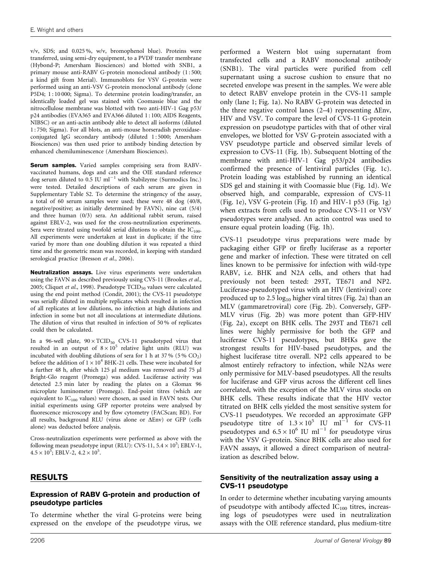v/v, SDS; and 0.025 %, w/v, bromophenol blue). Proteins were transferred, using semi-dry equipment, to a PVDF transfer membrane (Hybond-P; Amersham Biosciences) and blotted with SNB1, a primary mouse anti-RABV G-protein monoclonal antibody (1 : 500; a kind gift from Merial). Immunoblots for VSV G-protein were performed using an anti-VSV G-protein monoclonal antibody (clone P5D4; 1:10000; Sigma). To determine protein loading/transfer, an identically loaded gel was stained with Coomassie blue and the nitrocellulose membrane was blotted with two anti-HIV-1 Gag p53/ p24 antibodies (EVA365 and EVA366 diluted 1 : 100; AIDS Reagents, NIBSC) or an anti-actin antibody able to detect all isoforms (diluted 1 : 750; Sigma). For all blots, an anti-mouse horseradish peroxidaseconjugated IgG secondary antibody (diluted 1 : 5000; Amersham Biosciences) was then used prior to antibody binding detection by enhanced chemiluminescence (Amersham Biosciences).

Serum samples. Varied samples comprising sera from RABVvaccinated humans, dogs and cats and the OIE standard reference dog serum diluted to  $0.5$  IU ml<sup>-1</sup> with Stabilzyme (Surmodics Inc.) were tested. Detailed descriptions of each serum are given in Supplementary Table S2. To determine the stringency of the assay, a total of 60 serum samples were used; these were 48 dog (40/8, negative/positive; as initially determined by FAVN), nine cat (5/4) and three human (0/3) sera. An additional rabbit serum, raised against EBLV-2, was used for the cross-neutralization experiments. Sera were titrated using twofold serial dilutions to obtain the  $IC_{100}$ . All experiments were undertaken at least in duplicate; if the titre varied by more than one doubling dilution it was repeated a third time and the geometric mean was recorded, in keeping with standard serological practice (Bresson et al., 2006).

Neutralization assays. Live virus experiments were undertaken using the FAVN as described previously using CVS-11 (Brookes et al., 2005; Cliquet et al., 1998). Pseudotype  $TCID_{50}$  values were calculated using the end point method (Condit, 2001); the CVS-11 pseudotype was serially diluted in multiple replicates which resulted in infection of all replicates at low dilutions, no infection at high dilutions and infection in some but not all inoculations at intermediate dilutions. The dilution of virus that resulted in infection of 50 % of replicates could then be calculated.

In a 96-well plate,  $90 \times \text{TCID}_{50}$  CVS-11 pseudotyped virus that resulted in an output of  $8 \times 10^5$  relative light units (RLU) was incubated with doubling dilutions of sera for 1 h at 37 % (5 %  $CO<sub>2</sub>$ ) before the addition of  $1 \times 10^4$  BHK-21 cells. These were incubated for a further 48 h, after which 125 µl medium was removed and 75 µl Bright-Glo reagent (Promega) was added. Luciferase activity was detected 2.5 min later by reading the plates on a Glomax 96 microplate luminometer (Promega). End-point titres (which are equivalent to  $IC_{100}$  values) were chosen, as used in FAVN tests. Our initial experiments using GFP reporter proteins were analysed by fluorescence microscopy and by flow cytometry (FACScan; BD). For all results, background RLU (virus alone or  $\Delta \text{Env}$ ) or GFP (cells alone) was deducted before analysis.

Cross-neutralization experiments were performed as above with the following mean pseudotype input (RLU): CVS-11,  $5.4 \times 10^5$ ; EBLV-1,  $4.5 \times 10^5$ ; EBLV-2,  $4.2 \times 10^5$ .

#### RESULTS

#### Expression of RABV G-protein and production of pseudotype particles

To determine whether the viral G-proteins were being expressed on the envelope of the pseudotype virus, we

performed a Western blot using supernatant from transfected cells and a RABV monoclonal antibody (SNB1). The viral particles were purified from cell supernatant using a sucrose cushion to ensure that no secreted envelope was present in the samples. We were able to detect RABV envelope protein in the CVS-11 sample only (lane 1; Fig. 1a). No RABV G-protein was detected in the three negative control lanes  $(2-4)$  representing  $\Delta \text{Env}$ , HIV and VSV. To compare the level of CVS-11 G-protein expression on pseudotype particles with that of other viral envelopes, we blotted for VSV G-protein associated with a VSV pseudotype particle and observed similar levels of expression to CVS-11 (Fig. 1b). Subsequent blotting of the membrane with anti-HIV-1 Gag p53/p24 antibodies confirmed the presence of lentiviral particles (Fig. 1c). Protein loading was established by running an identical SDS gel and staining it with Coomassie blue (Fig. 1d). We observed high, and comparable, expression of CVS-11 (Fig. 1e), VSV G-protein (Fig. 1f) and HIV-1 p53 (Fig. 1g) when extracts from cells used to produce CVS-11 or VSV pseudotypes were analysed. An actin control was used to ensure equal protein loading (Fig. 1h).

CVS-11 pseudotype virus preparations were made by packaging either GFP or firefly luciferase as a reporter gene and marker of infection. These were titrated on cell lines known to be permissive for infection with wild-type RABV, i.e. BHK and N2A cells, and others that had previously not been tested: 293T, TE671 and NP2. Luciferase-pseudotyped virus with an HIV (lentiviral) core produced up to  $2.5 \log_{10}$  higher viral titres (Fig. 2a) than an MLV (gammaretroviral) core (Fig. 2b). Conversely, GFP-MLV virus (Fig. 2b) was more potent than GFP-HIV (Fig. 2a), except on BHK cells. The 293T and TE671 cell lines were highly permissive for both the GFP and luciferase CVS-11 pseudotypes, but BHKs gave the strongest results for HIV-based pseudotypes, and the highest luciferase titre overall. NP2 cells appeared to be almost entirely refractory to infection, while N2As were only permissive for MLV-based pseudotypes. All the results for luciferase and GFP virus across the different cell lines correlated, with the exception of the MLV virus stocks on BHK cells. These results indicate that the HIV vector titrated on BHK cells yielded the most sensitive system for CVS-11 pseudotypes. We recorded an approximate GFP pseudotype titre of  $1.3 \times 10^5$  IU ml<sup>-1</sup> for CVS-11 pseudotypes and  $6.5 \times 10^6$  IU ml<sup>-1</sup> for pseudotype virus with the VSV G-protein. Since BHK cells are also used for FAVN assays, it allowed a direct comparison of neutralization as described below.

#### Sensitivity of the neutralization assay using a CVS-11 pseudotype

In order to determine whether incubating varying amounts of pseudotype with antibody affected  $IC_{100}$  titres, increasing logs of pseudotypes were used in neutralization assays with the OIE reference standard, plus medium-titre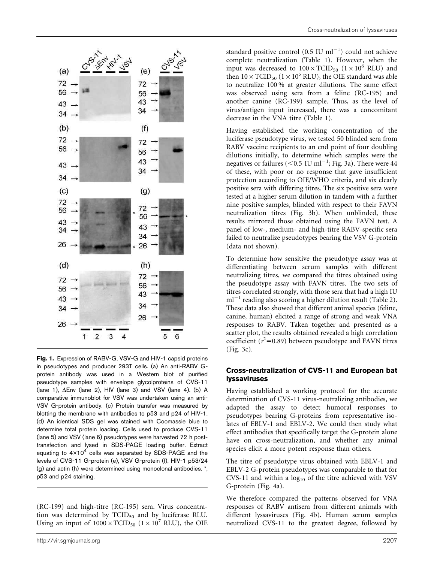

Fig. 1. Expression of RABV-G, VSV-G and HIV-1 capsid proteins in pseudotypes and producer 293T cells. (a) An anti-RABV Gprotein antibody was used in a Western blot of purified pseudotype samples with envelope glycolproteins of CVS-11 (lane 1),  $\Delta$ Env (lane 2), HIV (lane 3) and VSV (lane 4). (b) A comparative immunoblot for VSV was undertaken using an anti-VSV G-protein antibody. (c) Protein transfer was measured by blotting the membrane with antibodies to p53 and p24 of HIV-1. (d) An identical SDS gel was stained with Coomassie blue to determine total protein loading. Cells used to produce CVS-11 (lane 5) and VSV (lane 6) pseudotypes were harvested 72 h posttransfection and lysed in SDS-PAGE loading buffer. Extract equating to  $4\times10^4$  cells was separated by SDS-PAGE and the levels of CVS-11 G-protein (e), VSV G-protein (f), HIV-1 p53/24 (g) and actin (h) were determined using monoclonal antibodies. \*, p53 and p24 staining.

(RC-199) and high-titre (RC-195) sera. Virus concentration was determined by  $TCID_{50}$  and by luciferase RLU. Using an input of  $1000 \times \text{TCID}_{50}$   $(1 \times 10^7 \text{ RLU})$ , the OIE

standard positive control  $(0.5 \text{ IU ml}^{-1})$  could not achieve complete neutralization (Table 1). However, when the input was decreased to  $100 \times \text{TCID}_{50}$  (1 × 10<sup>6</sup> RLU) and then  $10 \times \text{TCID}_{50}$  ( $1 \times 10^5$  RLU), the OIE standard was able to neutralize 100 % at greater dilutions. The same effect was observed using sera from a feline (RC-195) and another canine (RC-199) sample. Thus, as the level of virus/antigen input increased, there was a concomitant decrease in the VNA titre (Table 1).

Having established the working concentration of the luciferase pseudotype virus, we tested 50 blinded sera from RABV vaccine recipients to an end point of four doubling dilutions initially, to determine which samples were the negatives or failures (<0.5 IU ml<sup>-1</sup>; Fig. 3a). There were 44 of these, with poor or no response that gave insufficient protection according to OIE/WHO criteria, and six clearly positive sera with differing titres. The six positive sera were tested at a higher serum dilution in tandem with a further nine positive samples, blinded with respect to their FAVN neutralization titres (Fig. 3b). When unblinded, these results mirrored those obtained using the FAVN test. A panel of low-, medium- and high-titre RABV-specific sera failed to neutralize pseudotypes bearing the VSV G-protein (data not shown).

To determine how sensitive the pseudotype assay was at differentiating between serum samples with different neutralizing titres, we compared the titres obtained using the pseudotype assay with FAVN titres. The two sets of titres correlated strongly, with those sera that had a high IU  $m<sup>1</sup>$  reading also scoring a higher dilution result (Table 2). These data also showed that different animal species (feline, canine, human) elicited a range of strong and weak VNA responses to RABV. Taken together and presented as a scatter plot, the results obtained revealed a high correlation coefficient ( $r^2$ =0.89) between pseudotype and FAVN titres (Fig. 3c).

#### Cross-neutralization of CVS-11 and European bat lyssaviruses

Having established a working protocol for the accurate determination of CVS-11 virus-neutralizing antibodies, we adapted the assay to detect humoral responses to pseudotypes bearing G-proteins from representative isolates of EBLV-1 and EBLV-2. We could then study what effect antibodies that specifically target the G-protein alone have on cross-neutralization, and whether any animal species elicit a more potent response than others.

The titre of pseudotype virus obtained with EBLV-1 and EBLV-2 G-protein pseudotypes was comparable to that for CVS-11 and within a  $log_{10}$  of the titre achieved with VSV G-protein (Fig. 4a).

We therefore compared the patterns observed for VNA responses of RABV antisera from different animals with different lyssaviruses (Fig. 4b). Human serum samples neutralized CVS-11 to the greatest degree, followed by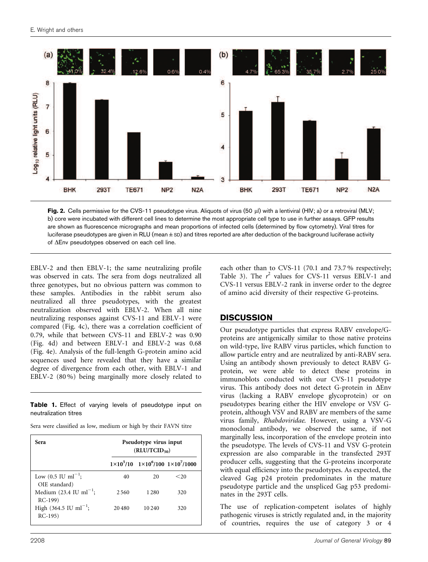

Fig. 2. Cells permissive for the CVS-11 pseudotype virus. Aliquots of virus (50 µl) with a lentiviral (HIV; a) or a retroviral (MLV; b) core were incubated with different cell lines to determine the most appropriate cell type to use in further assays. GFP results are shown as fluorescence micrographs and mean proportions of infected cells (determined by flow cytometry). Viral titres for luciferase pseudotypes are given in RLU (mean ± SD) and titres reported are after deduction of the background luciferase activity of  $\Delta$ Env pseudotypes observed on each cell line.

EBLV-2 and then EBLV-1; the same neutralizing profile was observed in cats. The sera from dogs neutralized all three genotypes, but no obvious pattern was common to these samples. Antibodies in the rabbit serum also neutralized all three pseudotypes, with the greatest neutralization observed with EBLV-2. When all nine neutralizing responses against CVS-11 and EBLV-1 were compared (Fig. 4c), there was a correlation coefficient of 0.79, while that between CVS-11 and EBLV-2 was 0.90 (Fig. 4d) and between EBLV-1 and EBLV-2 was 0.68 (Fig. 4e). Analysis of the full-length G-protein amino acid sequences used here revealed that they have a similar degree of divergence from each other, with EBLV-1 and EBLV-2 (80 %) being marginally more closely related to

Table 1. Effect of varying levels of pseudotype input on neutralization titres

Sera were classified as low, medium or high by their FAVN titre

| Sera                                                     | Pseudotype virus input<br>$(RLU/TCID_{50})$ |         |                                                             |  |
|----------------------------------------------------------|---------------------------------------------|---------|-------------------------------------------------------------|--|
|                                                          |                                             |         | $1 \times 10^5/10$ $1 \times 10^6/100$ $1 \times 10^7/1000$ |  |
| Low $(0.5 \text{ IU ml}^{-1})$ ;<br>OIE standard)        | 40                                          | 20      | ${<}20$                                                     |  |
| Medium $(23.4 \text{ IU } \text{ml}^{-1})$ ;<br>$RC-199$ | 2.560                                       | 1 2 8 0 | 320                                                         |  |
| High $(364.5 \text{ IU ml}^{-1})$ ;<br>$RC-195)$         | 20480                                       | 10 240  | 320                                                         |  |

each other than to CVS-11 (70.1 and 73.7 % respectively; Table 3). The  $r^2$  values for CVS-11 versus EBLV-1 and CVS-11 versus EBLV-2 rank in inverse order to the degree of amino acid diversity of their respective G-proteins.

## **DISCUSSION**

Our pseudotype particles that express RABV envelope/Gproteins are antigenically similar to those native proteins on wild-type, live RABV virus particles, which function to allow particle entry and are neutralized by anti-RABV sera. Using an antibody shown previously to detect RABV Gprotein, we were able to detect these proteins in immunoblots conducted with our CVS-11 pseudotype virus. This antibody does not detect G-protein in  $\Delta$ Env virus (lacking a RABV envelope glycoprotein) or on pseudotypes bearing either the HIV envelope or VSV Gprotein, although VSV and RABV are members of the same virus family, Rhabdoviridae. However, using a VSV-G monoclonal antibody, we observed the same, if not marginally less, incorporation of the envelope protein into the pseudotype. The levels of CVS-11 and VSV G-protein expression are also comparable in the transfected 293T producer cells, suggesting that the G-proteins incorporate with equal efficiency into the pseudotypes. As expected, the cleaved Gag p24 protein predominates in the mature pseudotype particle and the unspliced Gag p53 predominates in the 293T cells.

The use of replication-competent isolates of highly pathogenic viruses is strictly regulated and, in the majority of countries, requires the use of category 3 or 4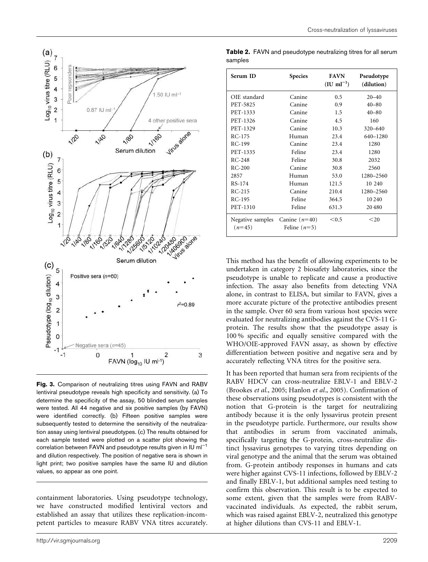

Fig. 3. Comparison of neutralizing titres using FAVN and RABV lentiviral pseudotype reveals high specificity and sensitivity. (a) To determine the specificity of the assay, 50 blinded serum samples were tested. All 44 negative and six positive samples (by FAVN) were identified correctly. (b) Fifteen positive samples were subsequently tested to determine the sensitivity of the neutralization assay using lentiviral pseudotypes. (c) The results obtained for each sample tested were plotted on a scatter plot showing the correlation between FAVN and pseudotype results given in IU  $ml^{-1}$ and dilution respectively. The position of negative sera is shown in light print; two positive samples have the same IU and dilution values, so appear as one point.

containment laboratories. Using pseudotype technology, we have constructed modified lentiviral vectors and established an assay that utilizes these replication-incompetent particles to measure RABV VNA titres accurately.

| Serum ID                     | <b>Species</b>                    | <b>FAVN</b><br>$(IU \text{ ml}^{-1})$ | Pseudotype<br>(dilution) |
|------------------------------|-----------------------------------|---------------------------------------|--------------------------|
| OIE standard                 | Canine                            | 0.5                                   | $20 - 40$                |
| PET-5825                     | Canine                            | 0.9                                   | $40 - 80$                |
| PET-1333                     | Canine                            | 1.5                                   | $40 - 80$                |
| PET-1326                     | Canine                            | 4.5                                   | 160                      |
| PET-1329                     | Canine                            | 10.3                                  | $320 - 640$              |
| $RC-175$                     | Human                             | 23.4                                  | 640-1280                 |
| $RC-199$                     | Canine                            | 23.4                                  | 1280                     |
| PET-1335                     | Feline                            | 23.4                                  | 1280                     |
| $RC-248$                     | Feline                            | 30.8                                  | 2032                     |
| $RC-200$                     | Canine                            | 30.8                                  | 2560                     |
| 2857                         | Human                             | 53.0                                  | 1280-2560                |
| RS-174                       | Human                             | 121.5                                 | 10 240                   |
| $RC-215$                     | Canine                            | 210.4                                 | 1280-2560                |
| RC-195                       | Feline                            | 364.5                                 | 10 240                   |
| PET-1310                     | Feline                            | 631.3                                 | 20480                    |
| Negative samples<br>$(n=45)$ | Canine $(n=40)$<br>Feline $(n=5)$ | < 0.5                                 | <20                      |

Table 2. FAVN and pseudotype neutralizing titres for all serum samples

This method has the benefit of allowing experiments to be undertaken in category 2 biosafety laboratories, since the pseudotype is unable to replicate and cause a productive infection. The assay also benefits from detecting VNA alone, in contrast to ELISA, but similar to FAVN, gives a more accurate picture of the protective antibodies present in the sample. Over 60 sera from various host species were evaluated for neutralizing antibodies against the CVS-11 Gprotein. The results show that the pseudotype assay is 100 % specific and equally sensitive compared with the WHO/OIE-approved FAVN assay, as shown by effective differentiation between positive and negative sera and by accurately reflecting VNA titres for the positive sera.

It has been reported that human sera from recipients of the RABV HDCV can cross-neutralize EBLV-1 and EBLV-2 (Brookes et al., 2005; Hanlon et al., 2005). Confirmation of these observations using pseudotypes is consistent with the notion that G-protein is the target for neutralizing antibody because it is the only lyssavirus protein present in the pseudotype particle. Furthermore, our results show that antibodies in serum from vaccinated animals, specifically targeting the G-protein, cross-neutralize distinct lyssavirus genotypes to varying titres depending on viral genotype and the animal that the serum was obtained from. G-protein antibody responses in humans and cats were higher against CVS-11 infections, followed by EBLV-2 and finally EBLV-1, but additional samples need testing to confirm this observation. This result is to be expected to some extent, given that the samples were from RABVvaccinated individuals. As expected, the rabbit serum, which was raised against EBLV-2, neutralized this genotype at higher dilutions than CVS-11 and EBLV-1.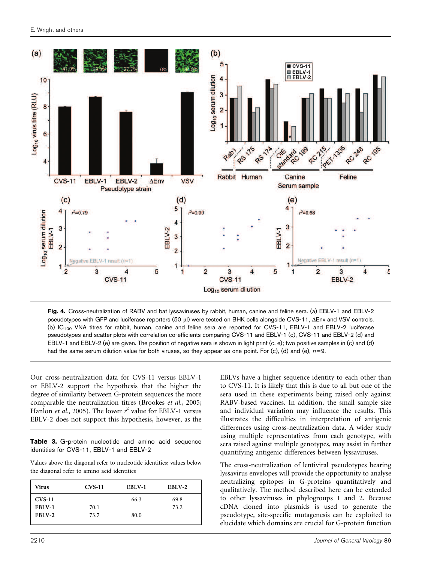

Fig. 4. Cross-neutralization of RABV and bat lyssaviruses by rabbit, human, canine and feline sera. (a) EBLV-1 and EBLV-2 pseudotypes with GFP and luciferase reporters (50 µl) were tested on BHK cells alongside CVS-11,  $\Delta$ Env and VSV controls. (b) IC<sub>100</sub> VNA titres for rabbit, human, canine and feline sera are reported for CVS-11, EBLV-1 and EBLV-2 luciferase pseudotypes and scatter plots with correlation co-efficients comparing CVS-11 and EBLV-1 (c), CVS-11 and EBLV-2 (d) and EBLV-1 and EBLV-2 (e) are given. The position of negative sera is shown in light print (c, e); two positive samples in (c) and (d) had the same serum dilution value for both viruses, so they appear as one point. For (c), (d) and (e),  $n=9$ .

Our cross-neutralization data for CVS-11 versus EBLV-1 or EBLV-2 support the hypothesis that the higher the degree of similarity between G-protein sequences the more comparable the neutralization titres (Brookes et al., 2005; Hanlon *et al.*, 2005). The lower  $r^2$  value for EBLV-1 versus EBLV-2 does not support this hypothesis, however, as the

Table 3. G-protein nucleotide and amino acid sequence identities for CVS-11, EBLV-1 and EBLV-2

Values above the diagonal refer to nucleotide identities; values below the diagonal refer to amino acid identities

| Virus    | $CVS-11$ | EBLV-1 | EBLV-2 |
|----------|----------|--------|--------|
| $CVS-11$ |          | 66.3   | 69.8   |
| EBLV-1   | 70.1     |        | 73.2   |
| EBLV-2   | 73.7     | 80.0   |        |
|          |          |        |        |

EBLVs have a higher sequence identity to each other than to CVS-11. It is likely that this is due to all but one of the sera used in these experiments being raised only against RABV-based vaccines. In addition, the small sample size and individual variation may influence the results. This illustrates the difficulties in interpretation of antigenic differences using cross-neutralization data. A wider study using multiple representatives from each genotype, with sera raised against multiple genotypes, may assist in further quantifying antigenic differences between lyssaviruses.

The cross-neutralization of lentiviral pseudotypes bearing lyssavirus envelopes will provide the opportunity to analyse neutralizing epitopes in G-proteins quantitatively and qualitatively. The method described here can be extended to other lyssaviruses in phylogroups 1 and 2. Because cDNA cloned into plasmids is used to generate the pseudotype, site-specific mutagenesis can be exploited to elucidate which domains are crucial for G-protein function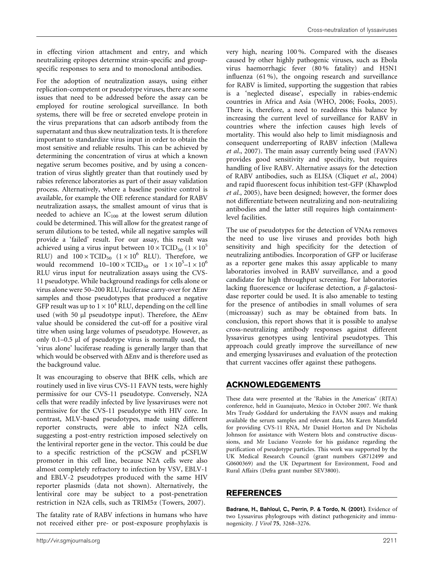in effecting virion attachment and entry, and which neutralizing epitopes determine strain-specific and groupspecific responses to sera and to monoclonal antibodies.

For the adoption of neutralization assays, using either replication-competent or pseudotype viruses, there are some issues that need to be addressed before the assay can be employed for routine serological surveillance. In both systems, there will be free or secreted envelope protein in the virus preparations that can adsorb antibody from the supernatant and thus skew neutralization tests. It is therefore important to standardize virus input in order to obtain the most sensitive and reliable results. This can be achieved by determining the concentration of virus at which a known negative serum becomes positive, and by using a concentration of virus slightly greater than that routinely used by rabies reference laboratories as part of their assay validation process. Alternatively, where a baseline positive control is available, for example the OIE reference standard for RABV neutralization assays, the smallest amount of virus that is needed to achieve an  $IC_{100}$  at the lowest serum dilution could be determined. This will allow for the greatest range of serum dilutions to be tested, while all negative samples will provide a 'failed' result. For our assay, this result was achieved using a virus input between  $10 \times \text{TCID}_{50}$  ( $1 \times 10^5$ RLU) and  $100 \times \text{TCID}_{50}$   $(1 \times 10^6 \text{ RLU})$ . Therefore, we would recommend  $10-100 \times \text{TCID}_{50}$  or  $1 \times 10^5 - 1 \times 10^6$ RLU virus input for neutralization assays using the CVS-11 pseudotype. While background readings for cells alone or virus alone were 50–200 RLU, luciferase carry-over for  $\Delta$ Env samples and those pseudotypes that produced a negative GFP result was up to  $1 \times 10^4$  RLU, depending on the cell line used (with 50  $\mu$ l pseudotype input). Therefore, the  $\Delta$ Env value should be considered the cut-off for a positive viral titre when using large volumes of pseudotype. However, as only  $0.1-0.5$  µl of pseudotype virus is normally used, the 'virus alone' luciferase reading is generally larger than that which would be observed with  $\Delta \text{Env}$  and is therefore used as the background value.

It was encouraging to observe that BHK cells, which are routinely used in live virus CVS-11 FAVN tests, were highly permissive for our CVS-11 pseudotype. Conversely, N2A cells that were readily infected by live lyssaviruses were not permissive for the CVS-11 pseudotype with HIV core. In contrast, MLV-based pseudotypes, made using different reporter constructs, were able to infect N2A cells, suggesting a post-entry restriction imposed selectively on the lentiviral reporter gene in the vector. This could be due to a specific restriction of the pCSGW and pCSFLW promoter in this cell line, because N2A cells were also almost completely refractory to infection by VSV, EBLV-1 and EBLV-2 pseudotypes produced with the same HIV reporter plasmids (data not shown). Alternatively, the lentiviral core may be subject to a post-penetration restriction in N2A cells, such as TRIM5a (Towers, 2007).

The fatality rate of RABV infections in humans who have not received either pre- or post-exposure prophylaxis is very high, nearing 100 %. Compared with the diseases caused by other highly pathogenic viruses, such as Ebola virus haemorrhagic fever (80 % fatality) and H5N1 influenza (61 %), the ongoing research and surveillance for RABV is limited, supporting the suggestion that rabies is a 'neglected disease', especially in rabies-endemic countries in Africa and Asia (WHO, 2006; Fooks, 2005). There is, therefore, a need to readdress this balance by increasing the current level of surveillance for RABV in countries where the infection causes high levels of mortality. This would also help to limit misdiagnosis and consequent underreporting of RABV infection (Mallewa et al., 2007). The main assay currently being used (FAVN) provides good sensitivity and specificity, but requires handling of live RABV. Alternative assays for the detection of RABV antibodies, such as ELISA (Cliquet et al., 2004) and rapid fluorescent focus inhibition test-GFP (Khawplod et al., 2005), have been designed; however, the former does not differentiate between neutralizing and non-neutralizing antibodies and the latter still requires high containmentlevel facilities.

The use of pseudotypes for the detection of VNAs removes the need to use live viruses and provides both high sensitivity and high specificity for the detection of neutralizing antibodies. Incorporation of GFP or luciferase as a reporter gene makes this assay applicable to many laboratories involved in RABV surveillance, and a good candidate for high throughput screening. For laboratories lacking fluorescence or luciferase detection, a  $\beta$ -galactosidase reporter could be used. It is also amenable to testing for the presence of antibodies in small volumes of sera (microassay) such as may be obtained from bats. In conclusion, this report shows that it is possible to analyse cross-neutralizing antibody responses against different lyssavirus genotypes using lentiviral pseudotypes. This approach could greatly improve the surveillance of new and emerging lyssaviruses and evaluation of the protection that current vaccines offer against these pathogens.

## ACKNOWLEDGEMENTS

These data were presented at the 'Rabies in the Americas' (RITA) conference, held in Guanajuato, Mexico in October 2007. We thank Mrs Trudy Goddard for undertaking the FAVN assays and making available the serum samples and relevant data, Ms Karen Mansfield for providing CVS-11 RNA, Mr Daniel Horton and Dr Nicholas Johnson for assistance with Western blots and constructive discussions, and Mr Luciano Vozzolo for his guidance regarding the purification of pseudotype particles. This work was supported by the UK Medical Research Council (grant numbers G8712499 and G0600369) and the UK Department for Environment, Food and Rural Affairs (Defra grant number SEV3800).

## REFERENCES

Badrane, H., Bahloul, C., Perrin, P. & Tordo, N. (2001). Evidence of two Lyssavirus phylogroups with distinct pathogenicity and immunogenicity. J Virol 75, 3268–3276.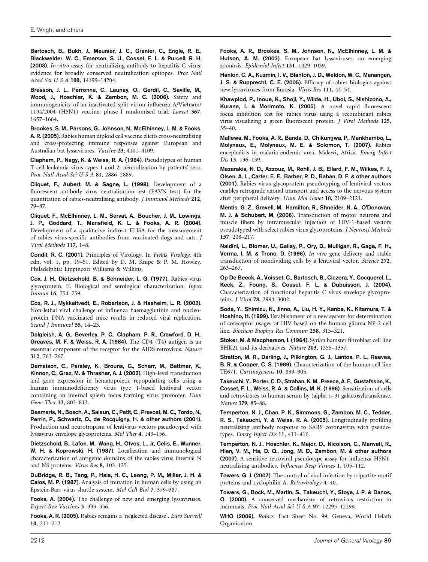Bartosch, B., Bukh, J., Meunier, J. C., Granier, C., Engle, R. E., Blackwelder, W. C., Emerson, S. U., Cosset, F. L. & Purcell, R. H. (2003). In vitro assay for neutralizing antibody to hepatitis C virus: evidence for broadly conserved neutralization epitopes. Proc Natl Acad Sci U S A 100, 14199–14204.

Bresson, J. L., Perronne, C., Launay, O., Gerdil, C., Saville, M., Wood, J., Hoschler, K. & Zambon, M. C. (2006). Safety and immunogenicity of an inactivated split-virion influenza A/Vietnam/ 1194/2004 (H5N1) vaccine: phase I randomised trial. Lancet 367, 1657–1664.

Brookes, S. M., Parsons, G., Johnson, N., McElhinney, L. M. & Fooks, A. R. (2005). Rabies human diploid cell vaccine elicits cross-neutralising and cross-protecting immune responses against European and Australian bat lyssaviruses. Vaccine 23, 4101–4109.

Clapham, P., Nagy, K. & Weiss, R. A. (1984). Pseudotypes of human T-cell leukemia virus types 1 and 2: neutralization by patients' sera. Proc Natl Acad Sci U S A 81, 2886–2889.

Cliquet, F., Aubert, M. & Sagne, L. (1998). Development of a fluorescent antibody virus neutralisation test (FAVN test) for the quantitation of rabies-neutralising antibody. J Immunol Methods 212, 79–87.

Cliquet, F., McElhinney, L. M., Servat, A., Boucher, J. M., Lowings, J. P., Goddard, T., Mansfield, K. L. & Fooks, A. R. (2004). Development of a qualitative indirect ELISA for the measurement of rabies virus-specific antibodies from vaccinated dogs and cats. J Virol Methods 117, 1–8.

Condit, R. C. (2001). Principles of Virology. In Fields Virology, 4th edn, vol. 1, pp. 19–51. Edited by D. M. Knipe & P. M. Howley. Philadelphia: Lippincott Williams & Wilkins.

Cox, J. H., Dietzschold, B. & Schneider, L. G. (1977). Rabies virus glycoprotein. II. Biological and serological characterization. Infect Immun 16, 754–759.

Cox, R. J., Mykkeltvedt, E., Robertson, J. & Haaheim, L. R. (2002). Non-lethal viral challenge of influenza haemagglutinin and nucleoprotein DNA vaccinated mice results in reduced viral replication. Scand J Immunol 55, 14–23.

Dalgleish, A. G., Beverley, P. C., Clapham, P. R., Crawford, D. H., Greaves, M. F. & Weiss, R. A. (1984). The CD4 (T4) antigen is an essential component of the receptor for the AIDS retrovirus. Nature 312, 763–767.

Demaison, C., Parsley, K., Brouns, G., Scherr, M., Battmer, K., Kinnon, C., Grez, M. & Thrasher, A. J. (2002). High-level transduction and gene expression in hematopoietic repopulating cells using a human immunodeficiency virus type 1-based lentiviral vector containing an internal spleen focus forming virus promoter. Hum Gene Ther 13, 803–813.

Desmaris, N., Bosch, A., Salaun, C., Petit, C., Prevost, M. C., Tordo, N., Perrin, P., Schwartz, O., de Rocquigny, H. & other authors (2001). Production and neurotropism of lentivirus vectors pseudotyped with lyssavirus envelope glycoproteins. Mol Ther 4, 149–156.

Dietzschold, B., Lafon, M., Wang, H., Otvos, L., Jr, Celis, E., Wunner, W. H. & Koprowski, H. (1987). Localization and immunological characterization of antigenic domains of the rabies virus internal N and NS proteins. Virus Res 8, 103–125.

DuBridge, R. B., Tang, P., Hsia, H. C., Leong, P. M., Miller, J. H. & Calos, M. P. (1987). Analysis of mutation in human cells by using an Epstein-Barr virus shuttle system. Mol Cell Biol 7, 379–387.

Fooks, A. (2004). The challenge of new and emerging lyssaviruses. Expert Rev Vaccines 3, 333–336.

Fooks, A. R. (2005). Rabies remains a 'neglected disease'. Euro Surveill 10, 211–212.

Fooks, A. R., Brookes, S. M., Johnson, N., McElhinney, L. M. & Hutson, A. M. (2003). European bat lyssaviruses: an emerging zoonosis. Epidemiol Infect 131, 1029–1039.

Hanlon, C. A., Kuzmin, I. V., Blanton, J. D., Weldon, W. C., Manangan, J. S. & Rupprecht, C. E. (2005). Efficacy of rabies biologics against new lyssaviruses from Eurasia. Virus Res 111, 44–54.

Khawplod, P., Inoue, K., Shoji, Y., Wilde, H., Ubol, S., Nishizono, A., Kurane, I. & Morimoto, K. (2005). A novel rapid fluorescent focus inhibition test for rabies virus using a recombinant rabies virus visualizing a green fluorescent protein. J Virol Methods 125, 35–40.

Mallewa, M., Fooks, A. R., Banda, D., Chikungwa, P., Mankhambo, L., Molyneux, E., Molyneux, M. E. & Solomon, T. (2007). Rabies encephalitis in malaria-endemic area, Malawi, Africa. Emerg Infect Dis 13, 136–139.

Mazarakis, N. D., Azzouz, M., Rohll, J. B., Ellard, F. M., Wilkes, F. J., Olsen, A. L., Carter, E. E., Barber, R. D., Baban, D. F. & other authors (2001). Rabies virus glycoprotein pseudotyping of lentiviral vectors enables retrograde axonal transport and access to the nervous system after peripheral delivery. Hum Mol Genet 10, 2109–2121.

Mentis, G. Z., Gravell, M., Hamilton, R., Shneider, N. A., O'Donovan, M. J. & Schubert, M. (2006). Transduction of motor neurons and muscle fibers by intramuscular injection of HIV-1-based vectors pseudotyped with select rabies virus glycoproteins. J Neurosci Methods 157, 208–217.

Naldini, L., Blomer, U., Gallay, P., Ory, D., Mulligan, R., Gage, F. H., Verma, I. M. & Trono, D. (1996). In vivo gene delivery and stable transduction of nondividing cells by a lentiviral vector. Science 272, 263–267.

Op De Beeck, A., Voisset, C., Bartosch, B., Ciczora, Y., Cocquerel, L., Keck, Z., Foung, S., Cosset, F. L. & Dubuisson, J. (2004). Characterization of functional hepatitis C virus envelope glycoproteins. J Virol 78, 2994–3002.

Soda, Y., Shimizu, N., Jinno, A., Liu, H. Y., Kanbe, K., Kitamura, T. & Hoshino, H. (1999). Establishment of a new system for determination of coreceptor usages of HIV based on the human glioma NP-2 cell line. Biochem Biophys Res Commun 258, 313–321.

Stoker, M. & Macpherson, I. (1964). Syrian hamster fibroblast cell line BHK21 and its derivatives. Nature 203, 1355–1357.

Stratton, M. R., Darling, J., Pilkington, G. J., Lantos, P. L., Reeves, B. R. & Cooper, C. S. (1989). Characterization of the human cell line TE671. Carcinogenesis 10, 899–905.

Takeuchi, Y., Porter, C. D., Strahan, K. M., Preece, A. F., Gustafsson, K., Cosset, F. L., Weiss, R. A. & Collins, M. K. (1996). Sensitization of cells and retroviruses to human serum by (alpha 1–3) galactosyltransferase. Nature 379, 85–88.

Temperton, N. J., Chan, P. K., Simmons, G., Zambon, M. C., Tedder, R. S., Takeuchi, Y. & Weiss, R. A. (2005). Longitudinally profiling neutralizing antibody response to SARS coronavirus with pseudotypes. Emerg Infect Dis 11, 411–416.

Temperton, N. J., Hoschler, K., Major, D., Nicolson, C., Manvell, R., Hien, V. M., Ha, D. Q., Jong, M. D., Zambon, M. & other authors (2007). A sensitive retroviral pseudotype assay for influenza H5N1 neutralizing antibodies. Influenza Resp Viruses 1, 105–112.

Towers, G. J. (2007). The control of viral infection by tripartite motif proteins and cyclophilin A. Retrovirology 4: 40.

Towers, G., Bock, M., Martin, S., Takeuchi, Y., Stoye, J. P. & Danos, O. (2000). A conserved mechanism of retrovirus restriction in mammals. Proc Natl Acad Sci U S A 97, 12295–12299.

WHO (2006). Rabies. Fact Sheet No. 99. Geneva, World Helath Organisation.